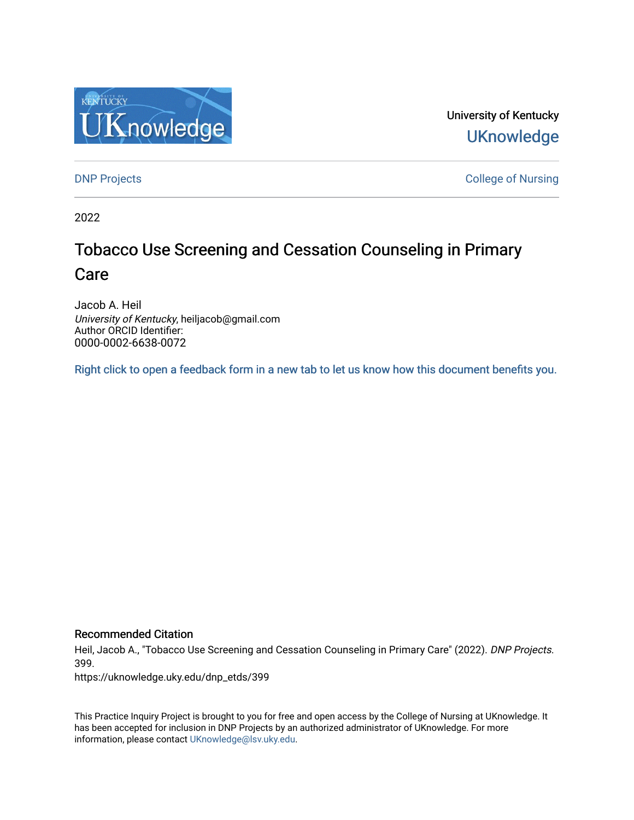

University of Kentucky **UKnowledge** 

**DNP Projects** College of Nursing

2022

# Tobacco Use Screening and Cessation Counseling in Primary Care

Jacob A. Heil University of Kentucky, heiljacob@gmail.com Author ORCID Identifier: 0000-0002-6638-0072

[Right click to open a feedback form in a new tab to let us know how this document benefits you.](https://uky.az1.qualtrics.com/jfe/form/SV_9mq8fx2GnONRfz7)

# Recommended Citation

Heil, Jacob A., "Tobacco Use Screening and Cessation Counseling in Primary Care" (2022). DNP Projects. 399.

https://uknowledge.uky.edu/dnp\_etds/399

This Practice Inquiry Project is brought to you for free and open access by the College of Nursing at UKnowledge. It has been accepted for inclusion in DNP Projects by an authorized administrator of UKnowledge. For more information, please contact [UKnowledge@lsv.uky.edu](mailto:UKnowledge@lsv.uky.edu).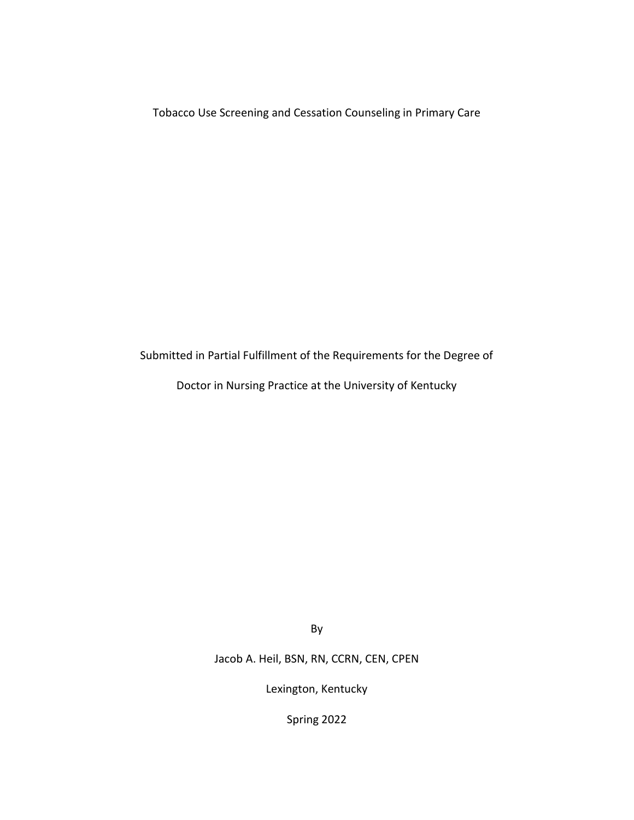Tobacco Use Screening and Cessation Counseling in Primary Care

Submitted in Partial Fulfillment of the Requirements for the Degree of

Doctor in Nursing Practice at the University of Kentucky

By

Jacob A. Heil, BSN, RN, CCRN, CEN, CPEN

Lexington, Kentucky

Spring 2022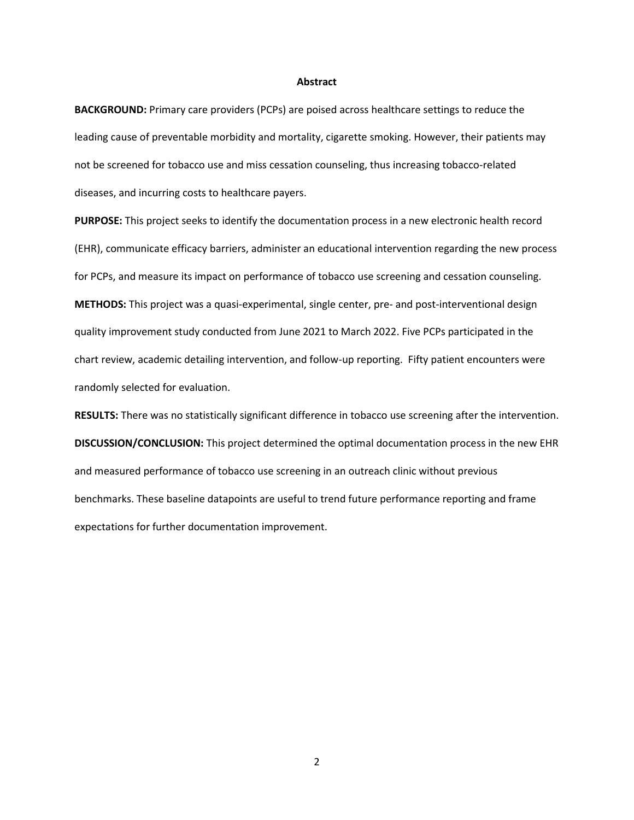#### **Abstract**

**BACKGROUND:** Primary care providers (PCPs) are poised across healthcare settings to reduce the leading cause of preventable morbidity and mortality, cigarette smoking. However, their patients may not be screened for tobacco use and miss cessation counseling, thus increasing tobacco-related diseases, and incurring costs to healthcare payers.

**PURPOSE:** This project seeks to identify the documentation process in a new electronic health record (EHR), communicate efficacy barriers, administer an educational intervention regarding the new process for PCPs, and measure its impact on performance of tobacco use screening and cessation counseling. **METHODS:** This project was a quasi-experimental, single center, pre- and post-interventional design quality improvement study conducted from June 2021 to March 2022. Five PCPs participated in the chart review, academic detailing intervention, and follow-up reporting. Fifty patient encounters were randomly selected for evaluation.

**RESULTS:** There was no statistically significant difference in tobacco use screening after the intervention. **DISCUSSION/CONCLUSION:** This project determined the optimal documentation process in the new EHR and measured performance of tobacco use screening in an outreach clinic without previous benchmarks. These baseline datapoints are useful to trend future performance reporting and frame expectations for further documentation improvement.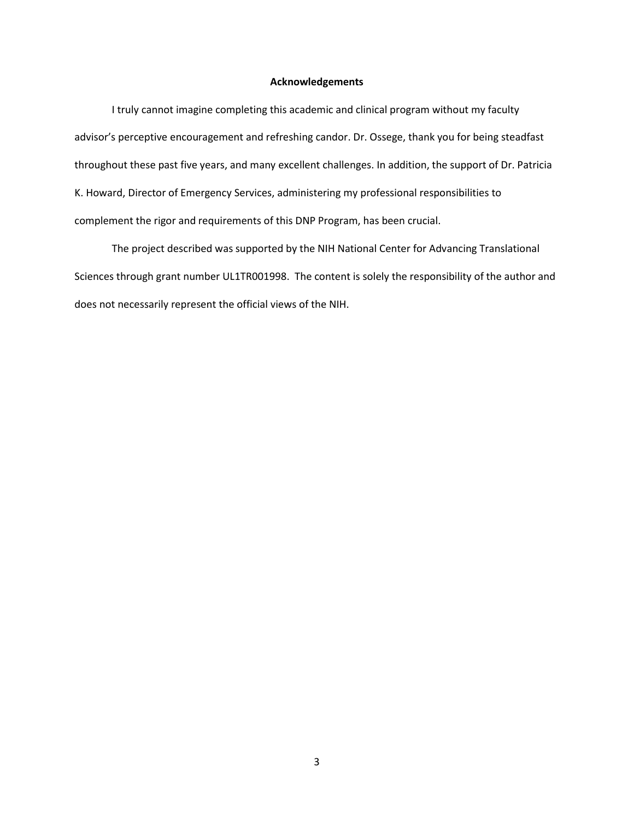#### **Acknowledgements**

I truly cannot imagine completing this academic and clinical program without my faculty advisor's perceptive encouragement and refreshing candor. Dr. Ossege, thank you for being steadfast throughout these past five years, and many excellent challenges. In addition, the support of Dr. Patricia K. Howard, Director of Emergency Services, administering my professional responsibilities to complement the rigor and requirements of this DNP Program, has been crucial.

The project described was supported by the NIH National Center for Advancing Translational Sciences through grant number UL1TR001998. The content is solely the responsibility of the author and does not necessarily represent the official views of the NIH.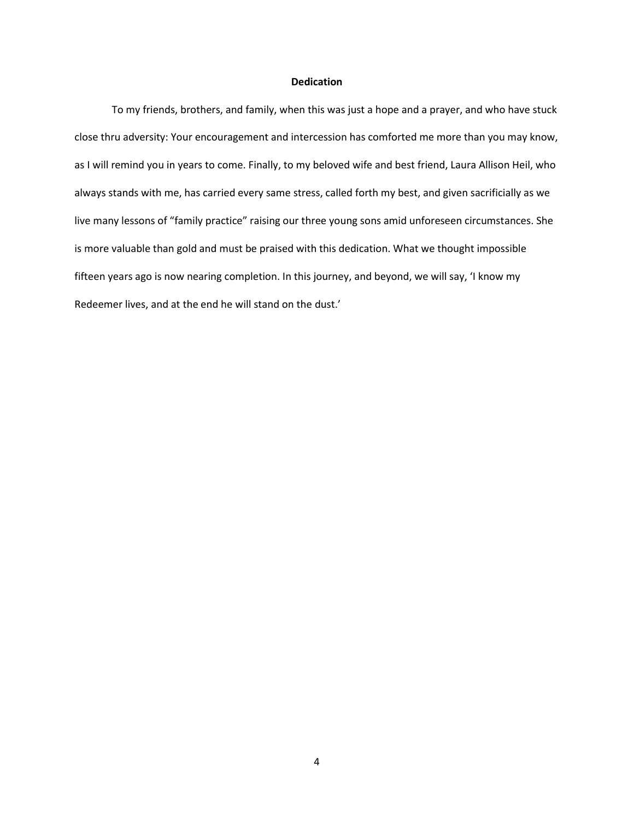# **Dedication**

To my friends, brothers, and family, when this was just a hope and a prayer, and who have stuck close thru adversity: Your encouragement and intercession has comforted me more than you may know, as I will remind you in years to come. Finally, to my beloved wife and best friend, Laura Allison Heil, who always stands with me, has carried every same stress, called forth my best, and given sacrificially as we live many lessons of "family practice" raising our three young sons amid unforeseen circumstances. She is more valuable than gold and must be praised with this dedication. What we thought impossible fifteen years ago is now nearing completion. In this journey, and beyond, we will say, 'I know my Redeemer lives, and at the end he will stand on the dust.'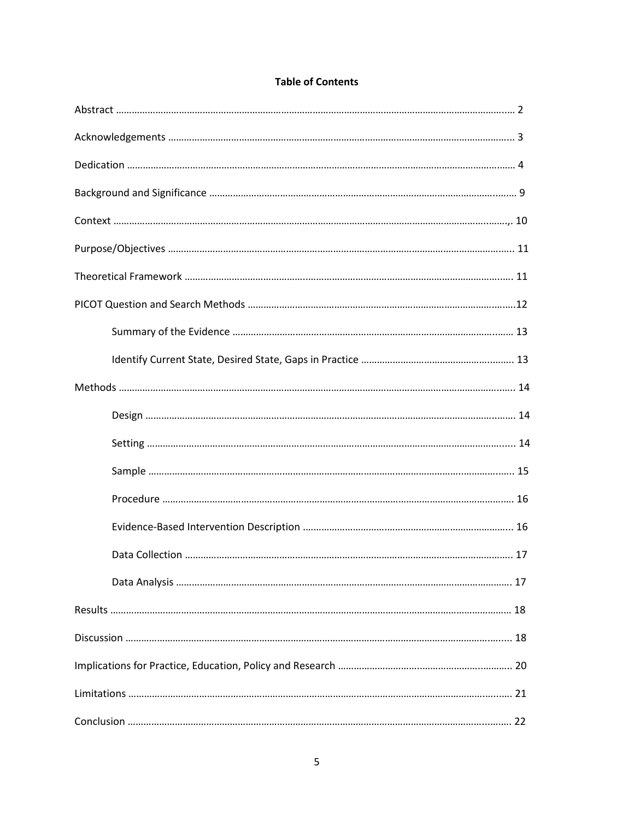|  |  |  | <b>Table of Contents</b> |
|--|--|--|--------------------------|
|--|--|--|--------------------------|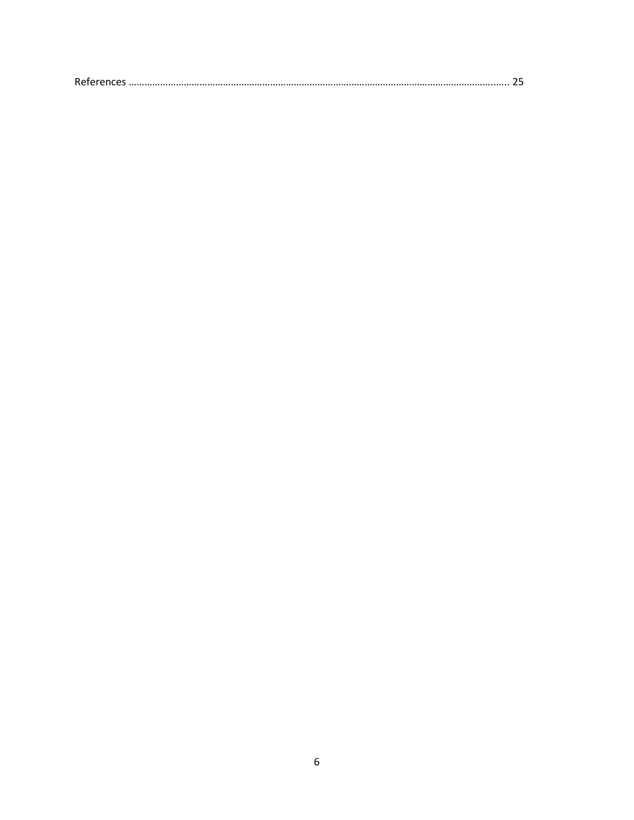|--|--|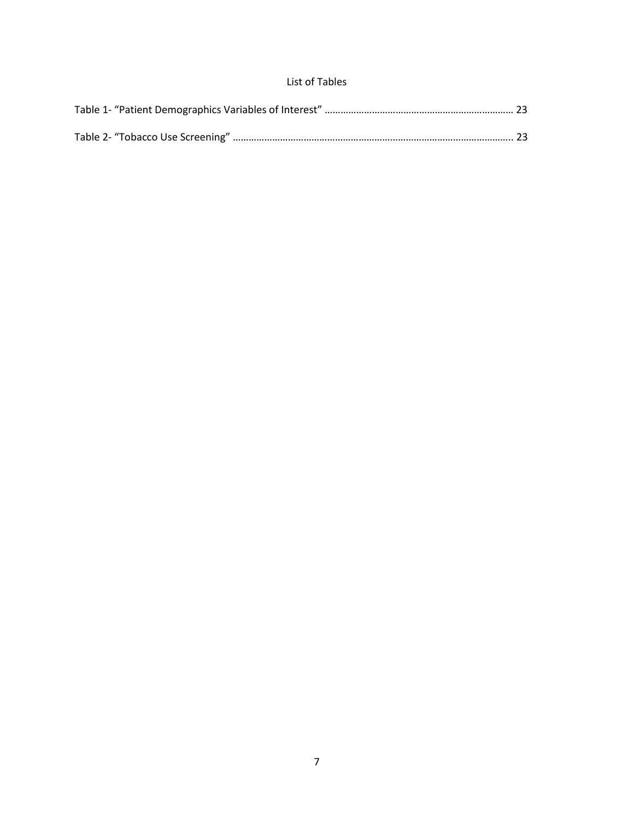# List of Tables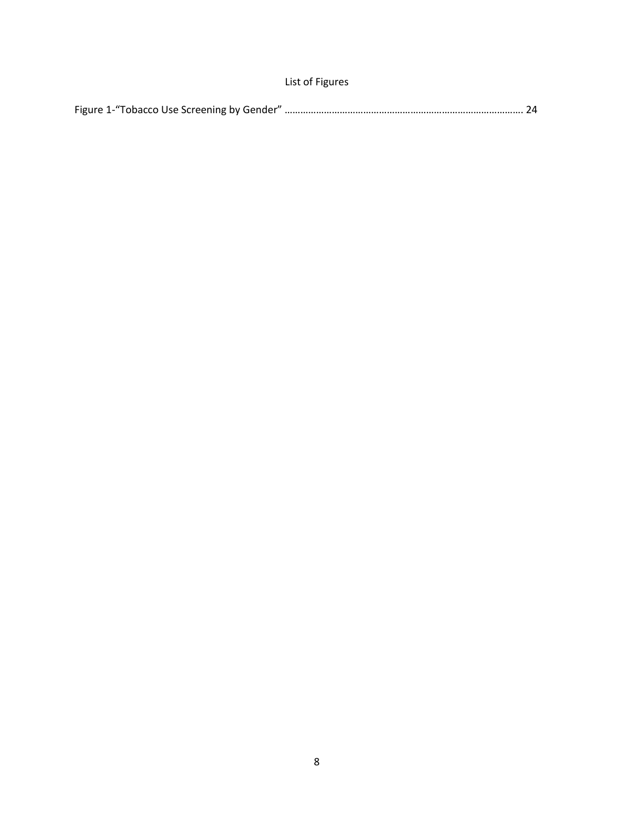# List of Figures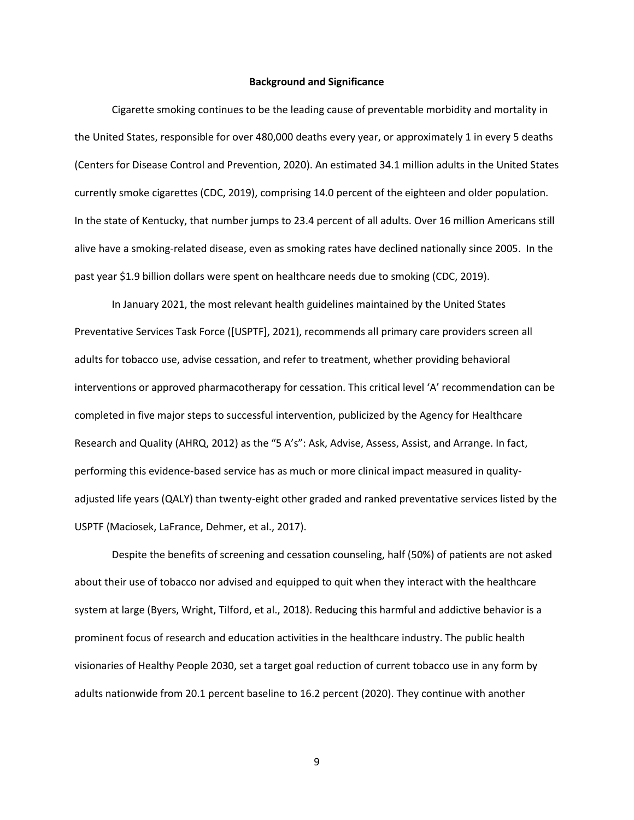#### **Background and Significance**

Cigarette smoking continues to be the leading cause of preventable morbidity and mortality in the United States, responsible for over 480,000 deaths every year, or approximately 1 in every 5 deaths (Centers for Disease Control and Prevention, 2020). An estimated 34.1 million adults in the United States currently smoke cigarettes (CDC, 2019), comprising 14.0 percent of the eighteen and older population. In the state of Kentucky, that number jumps to 23.4 percent of all adults. Over 16 million Americans still alive have a smoking-related disease, even as smoking rates have declined nationally since 2005. In the past year \$1.9 billion dollars were spent on healthcare needs due to smoking (CDC, 2019).

In January 2021, the most relevant health guidelines maintained by the United States Preventative Services Task Force ([USPTF], 2021), recommends all primary care providers screen all adults for tobacco use, advise cessation, and refer to treatment, whether providing behavioral interventions or approved pharmacotherapy for cessation. This critical level 'A' recommendation can be completed in five major steps to successful intervention, publicized by the Agency for Healthcare Research and Quality (AHRQ, 2012) as the "5 A's": Ask, Advise, Assess, Assist, and Arrange. In fact, performing this evidence-based service has as much or more clinical impact measured in qualityadjusted life years (QALY) than twenty-eight other graded and ranked preventative services listed by the USPTF (Maciosek, LaFrance, Dehmer, et al., 2017).

Despite the benefits of screening and cessation counseling, half (50%) of patients are not asked about their use of tobacco nor advised and equipped to quit when they interact with the healthcare system at large (Byers, Wright, Tilford, et al., 2018). Reducing this harmful and addictive behavior is a prominent focus of research and education activities in the healthcare industry. The public health visionaries of Healthy People 2030, set a target goal reduction of current tobacco use in any form by adults nationwide from 20.1 percent baseline to 16.2 percent (2020). They continue with another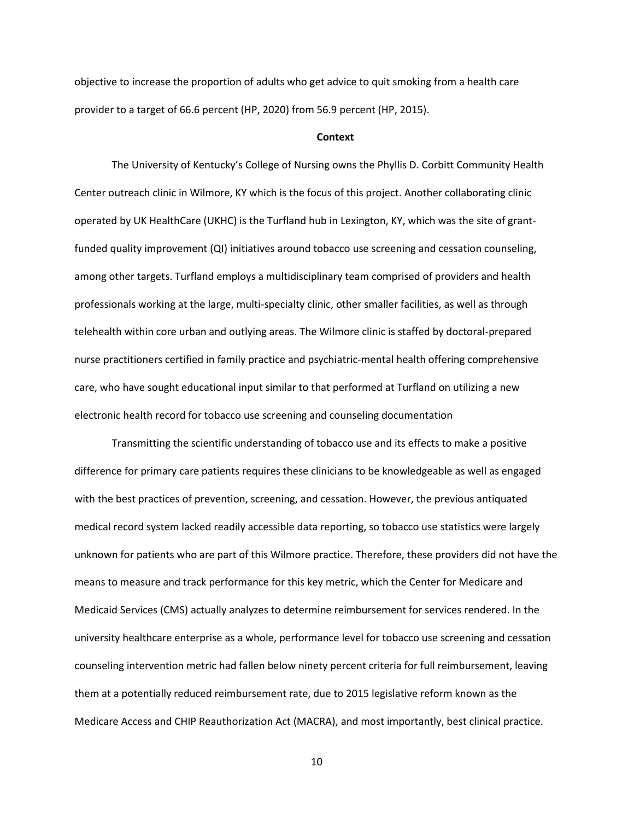objective to increase the proportion of adults who get advice to quit smoking from a health care provider to a target of 66.6 percent (HP, 2020) from 56.9 percent (HP, 2015).

## **Context**

The University of Kentucky's College of Nursing owns the Phyllis D. Corbitt Community Health Center outreach clinic in Wilmore, KY which is the focus of this project. Another collaborating clinic operated by UK HealthCare (UKHC) is the Turfland hub in Lexington, KY, which was the site of grantfunded quality improvement (QI) initiatives around tobacco use screening and cessation counseling, among other targets. Turfland employs a multidisciplinary team comprised of providers and health professionals working at the large, multi-specialty clinic, other smaller facilities, as well as through telehealth within core urban and outlying areas. The Wilmore clinic is staffed by doctoral-prepared nurse practitioners certified in family practice and psychiatric-mental health offering comprehensive care, who have sought educational input similar to that performed at Turfland on utilizing a new electronic health record for tobacco use screening and counseling documentation

Transmitting the scientific understanding of tobacco use and its effects to make a positive difference for primary care patients requires these clinicians to be knowledgeable as well as engaged with the best practices of prevention, screening, and cessation. However, the previous antiquated medical record system lacked readily accessible data reporting, so tobacco use statistics were largely unknown for patients who are part of this Wilmore practice. Therefore, these providers did not have the means to measure and track performance for this key metric, which the Center for Medicare and Medicaid Services (CMS) actually analyzes to determine reimbursement for services rendered. In the university healthcare enterprise as a whole, performance level for tobacco use screening and cessation counseling intervention metric had fallen below ninety percent criteria for full reimbursement, leaving them at a potentially reduced reimbursement rate, due to 2015 legislative reform known as the Medicare Access and CHIP Reauthorization Act (MACRA), and most importantly, best clinical practice.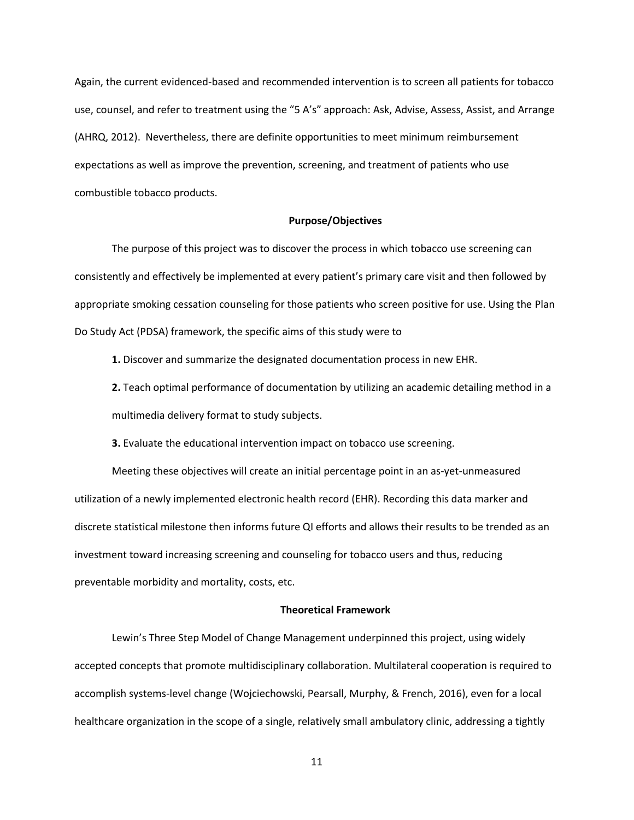Again, the current evidenced-based and recommended intervention is to screen all patients for tobacco use, counsel, and refer to treatment using the "5 A's" approach: Ask, Advise, Assess, Assist, and Arrange (AHRQ, 2012). Nevertheless, there are definite opportunities to meet minimum reimbursement expectations as well as improve the prevention, screening, and treatment of patients who use combustible tobacco products.

#### **Purpose/Objectives**

The purpose of this project was to discover the process in which tobacco use screening can consistently and effectively be implemented at every patient's primary care visit and then followed by appropriate smoking cessation counseling for those patients who screen positive for use. Using the Plan Do Study Act (PDSA) framework, the specific aims of this study were to

**1.** Discover and summarize the designated documentation process in new EHR.

**2.** Teach optimal performance of documentation by utilizing an academic detailing method in a multimedia delivery format to study subjects.

**3.** Evaluate the educational intervention impact on tobacco use screening.

Meeting these objectives will create an initial percentage point in an as-yet-unmeasured utilization of a newly implemented electronic health record (EHR). Recording this data marker and discrete statistical milestone then informs future QI efforts and allows their results to be trended as an investment toward increasing screening and counseling for tobacco users and thus, reducing preventable morbidity and mortality, costs, etc.

# **Theoretical Framework**

Lewin's Three Step Model of Change Management underpinned this project, using widely accepted concepts that promote multidisciplinary collaboration. Multilateral cooperation is required to accomplish systems-level change (Wojciechowski, Pearsall, Murphy, & French, 2016), even for a local healthcare organization in the scope of a single, relatively small ambulatory clinic, addressing a tightly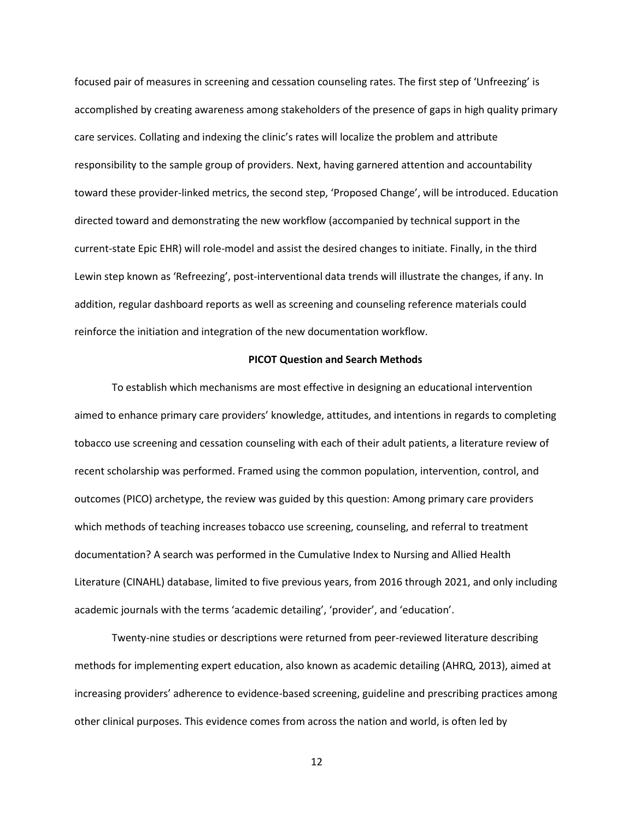focused pair of measures in screening and cessation counseling rates. The first step of 'Unfreezing' is accomplished by creating awareness among stakeholders of the presence of gaps in high quality primary care services. Collating and indexing the clinic's rates will localize the problem and attribute responsibility to the sample group of providers. Next, having garnered attention and accountability toward these provider-linked metrics, the second step, 'Proposed Change', will be introduced. Education directed toward and demonstrating the new workflow (accompanied by technical support in the current-state Epic EHR) will role-model and assist the desired changes to initiate. Finally, in the third Lewin step known as 'Refreezing', post-interventional data trends will illustrate the changes, if any. In addition, regular dashboard reports as well as screening and counseling reference materials could reinforce the initiation and integration of the new documentation workflow.

### **PICOT Question and Search Methods**

To establish which mechanisms are most effective in designing an educational intervention aimed to enhance primary care providers' knowledge, attitudes, and intentions in regards to completing tobacco use screening and cessation counseling with each of their adult patients, a literature review of recent scholarship was performed. Framed using the common population, intervention, control, and outcomes (PICO) archetype, the review was guided by this question: Among primary care providers which methods of teaching increases tobacco use screening, counseling, and referral to treatment documentation? A search was performed in the Cumulative Index to Nursing and Allied Health Literature (CINAHL) database, limited to five previous years, from 2016 through 2021, and only including academic journals with the terms 'academic detailing', 'provider', and 'education'.

Twenty-nine studies or descriptions were returned from peer-reviewed literature describing methods for implementing expert education, also known as academic detailing (AHRQ, 2013), aimed at increasing providers' adherence to evidence-based screening, guideline and prescribing practices among other clinical purposes. This evidence comes from across the nation and world, is often led by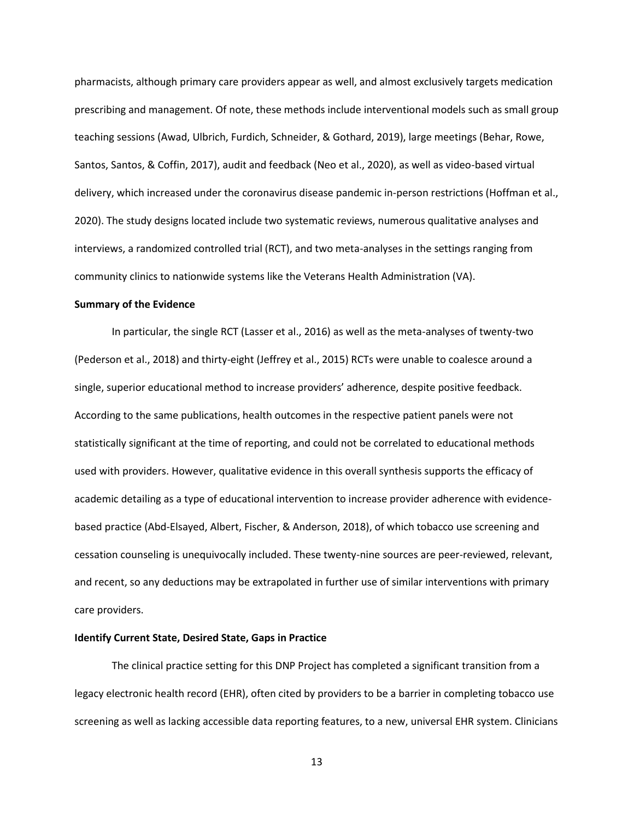pharmacists, although primary care providers appear as well, and almost exclusively targets medication prescribing and management. Of note, these methods include interventional models such as small group teaching sessions (Awad, Ulbrich, Furdich, Schneider, & Gothard, 2019), large meetings (Behar, Rowe, Santos, Santos, & Coffin, 2017), audit and feedback (Neo et al., 2020), as well as video-based virtual delivery, which increased under the coronavirus disease pandemic in-person restrictions (Hoffman et al., 2020). The study designs located include two systematic reviews, numerous qualitative analyses and interviews, a randomized controlled trial (RCT), and two meta-analyses in the settings ranging from community clinics to nationwide systems like the Veterans Health Administration (VA).

#### **Summary of the Evidence**

In particular, the single RCT (Lasser et al., 2016) as well as the meta-analyses of twenty-two (Pederson et al., 2018) and thirty-eight (Jeffrey et al., 2015) RCTs were unable to coalesce around a single, superior educational method to increase providers' adherence, despite positive feedback. According to the same publications, health outcomes in the respective patient panels were not statistically significant at the time of reporting, and could not be correlated to educational methods used with providers. However, qualitative evidence in this overall synthesis supports the efficacy of academic detailing as a type of educational intervention to increase provider adherence with evidencebased practice (Abd-Elsayed, Albert, Fischer, & Anderson, 2018), of which tobacco use screening and cessation counseling is unequivocally included. These twenty-nine sources are peer-reviewed, relevant, and recent, so any deductions may be extrapolated in further use of similar interventions with primary care providers.

# **Identify Current State, Desired State, Gaps in Practice**

The clinical practice setting for this DNP Project has completed a significant transition from a legacy electronic health record (EHR), often cited by providers to be a barrier in completing tobacco use screening as well as lacking accessible data reporting features, to a new, universal EHR system. Clinicians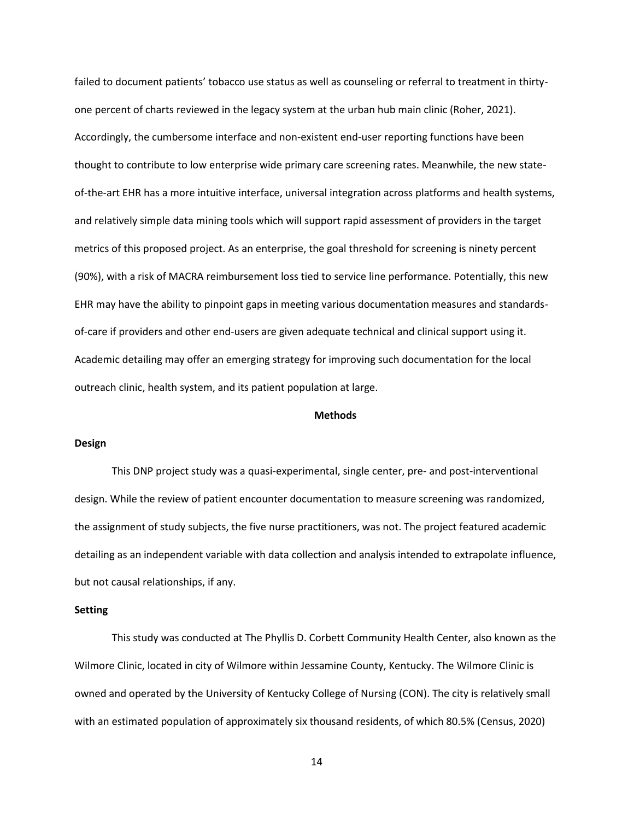failed to document patients' tobacco use status as well as counseling or referral to treatment in thirtyone percent of charts reviewed in the legacy system at the urban hub main clinic (Roher, 2021). Accordingly, the cumbersome interface and non-existent end-user reporting functions have been thought to contribute to low enterprise wide primary care screening rates. Meanwhile, the new stateof-the-art EHR has a more intuitive interface, universal integration across platforms and health systems, and relatively simple data mining tools which will support rapid assessment of providers in the target metrics of this proposed project. As an enterprise, the goal threshold for screening is ninety percent (90%), with a risk of MACRA reimbursement loss tied to service line performance. Potentially, this new EHR may have the ability to pinpoint gaps in meeting various documentation measures and standardsof-care if providers and other end-users are given adequate technical and clinical support using it. Academic detailing may offer an emerging strategy for improving such documentation for the local outreach clinic, health system, and its patient population at large.

# **Methods**

# **Design**

This DNP project study was a quasi-experimental, single center, pre- and post-interventional design. While the review of patient encounter documentation to measure screening was randomized, the assignment of study subjects, the five nurse practitioners, was not. The project featured academic detailing as an independent variable with data collection and analysis intended to extrapolate influence, but not causal relationships, if any.

# **Setting**

This study was conducted at The Phyllis D. Corbett Community Health Center, also known as the Wilmore Clinic, located in city of Wilmore within Jessamine County, Kentucky. The Wilmore Clinic is owned and operated by the University of Kentucky College of Nursing (CON). The city is relatively small with an estimated population of approximately six thousand residents, of which 80.5% (Census, 2020)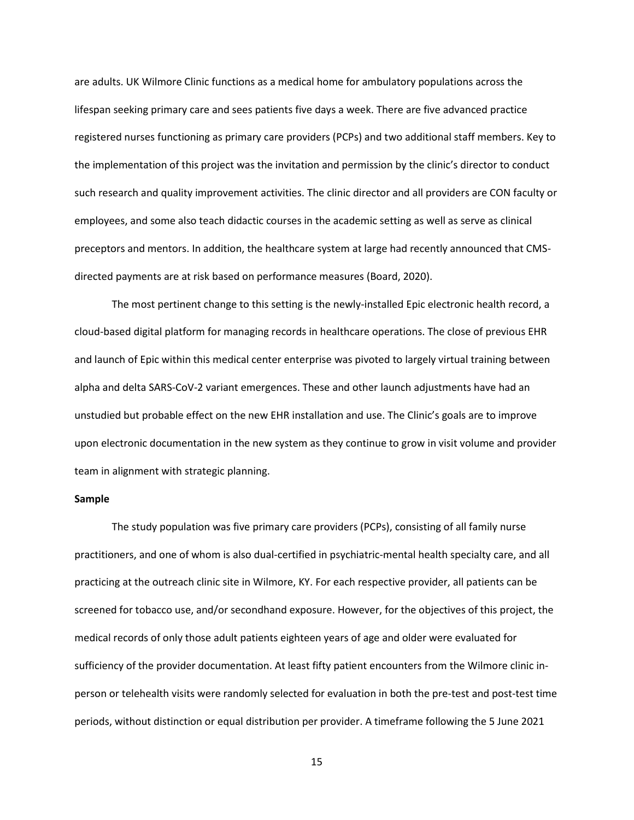are adults. UK Wilmore Clinic functions as a medical home for ambulatory populations across the lifespan seeking primary care and sees patients five days a week. There are five advanced practice registered nurses functioning as primary care providers (PCPs) and two additional staff members. Key to the implementation of this project was the invitation and permission by the clinic's director to conduct such research and quality improvement activities. The clinic director and all providers are CON faculty or employees, and some also teach didactic courses in the academic setting as well as serve as clinical preceptors and mentors. In addition, the healthcare system at large had recently announced that CMSdirected payments are at risk based on performance measures (Board, 2020).

The most pertinent change to this setting is the newly-installed Epic electronic health record, a cloud-based digital platform for managing records in healthcare operations. The close of previous EHR and launch of Epic within this medical center enterprise was pivoted to largely virtual training between alpha and delta SARS-CoV-2 variant emergences. These and other launch adjustments have had an unstudied but probable effect on the new EHR installation and use. The Clinic's goals are to improve upon electronic documentation in the new system as they continue to grow in visit volume and provider team in alignment with strategic planning.

#### **Sample**

The study population was five primary care providers (PCPs), consisting of all family nurse practitioners, and one of whom is also dual-certified in psychiatric-mental health specialty care, and all practicing at the outreach clinic site in Wilmore, KY. For each respective provider, all patients can be screened for tobacco use, and/or secondhand exposure. However, for the objectives of this project, the medical records of only those adult patients eighteen years of age and older were evaluated for sufficiency of the provider documentation. At least fifty patient encounters from the Wilmore clinic inperson or telehealth visits were randomly selected for evaluation in both the pre-test and post-test time periods, without distinction or equal distribution per provider. A timeframe following the 5 June 2021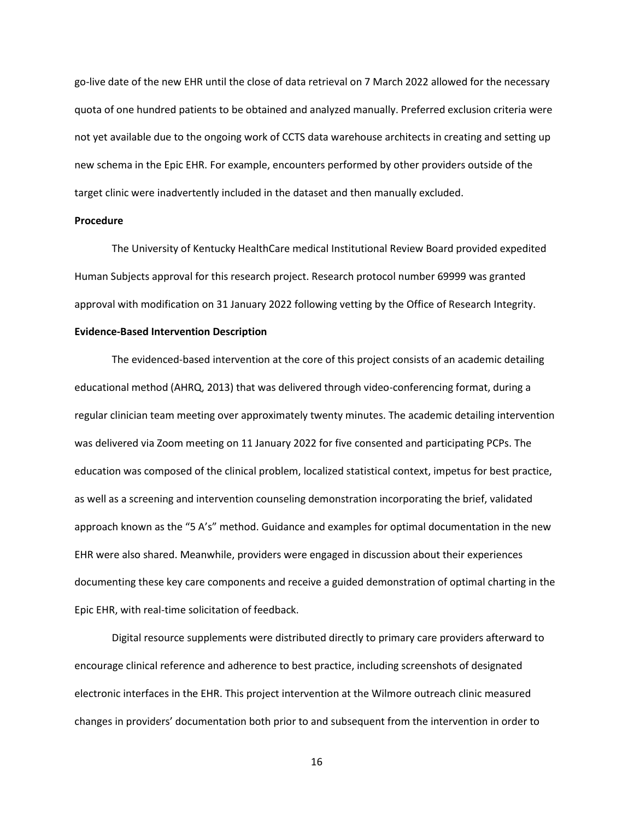go-live date of the new EHR until the close of data retrieval on 7 March 2022 allowed for the necessary quota of one hundred patients to be obtained and analyzed manually. Preferred exclusion criteria were not yet available due to the ongoing work of CCTS data warehouse architects in creating and setting up new schema in the Epic EHR. For example, encounters performed by other providers outside of the target clinic were inadvertently included in the dataset and then manually excluded.

#### **Procedure**

The University of Kentucky HealthCare medical Institutional Review Board provided expedited Human Subjects approval for this research project. Research protocol number 69999 was granted approval with modification on 31 January 2022 following vetting by the Office of Research Integrity.

# **Evidence-Based Intervention Description**

The evidenced-based intervention at the core of this project consists of an academic detailing educational method (AHRQ, 2013) that was delivered through video-conferencing format, during a regular clinician team meeting over approximately twenty minutes. The academic detailing intervention was delivered via Zoom meeting on 11 January 2022 for five consented and participating PCPs. The education was composed of the clinical problem, localized statistical context, impetus for best practice, as well as a screening and intervention counseling demonstration incorporating the brief, validated approach known as the "5 A's" method. Guidance and examples for optimal documentation in the new EHR were also shared. Meanwhile, providers were engaged in discussion about their experiences documenting these key care components and receive a guided demonstration of optimal charting in the Epic EHR, with real-time solicitation of feedback.

Digital resource supplements were distributed directly to primary care providers afterward to encourage clinical reference and adherence to best practice, including screenshots of designated electronic interfaces in the EHR. This project intervention at the Wilmore outreach clinic measured changes in providers' documentation both prior to and subsequent from the intervention in order to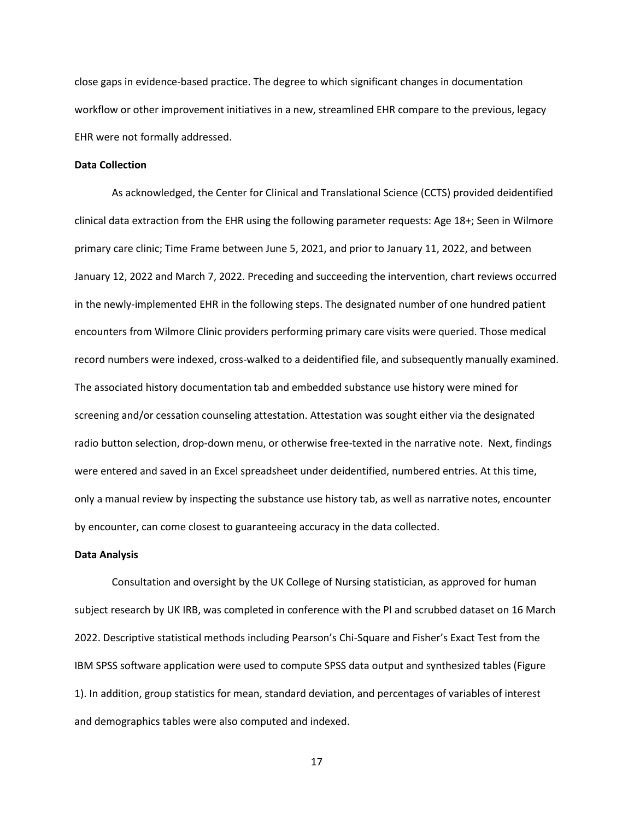close gaps in evidence-based practice. The degree to which significant changes in documentation workflow or other improvement initiatives in a new, streamlined EHR compare to the previous, legacy EHR were not formally addressed.

# **Data Collection**

As acknowledged, the Center for Clinical and Translational Science (CCTS) provided deidentified clinical data extraction from the EHR using the following parameter requests: Age 18+; Seen in Wilmore primary care clinic; Time Frame between June 5, 2021, and prior to January 11, 2022, and between January 12, 2022 and March 7, 2022. Preceding and succeeding the intervention, chart reviews occurred in the newly-implemented EHR in the following steps. The designated number of one hundred patient encounters from Wilmore Clinic providers performing primary care visits were queried. Those medical record numbers were indexed, cross-walked to a deidentified file, and subsequently manually examined. The associated history documentation tab and embedded substance use history were mined for screening and/or cessation counseling attestation. Attestation was sought either via the designated radio button selection, drop-down menu, or otherwise free-texted in the narrative note. Next, findings were entered and saved in an Excel spreadsheet under deidentified, numbered entries. At this time, only a manual review by inspecting the substance use history tab, as well as narrative notes, encounter by encounter, can come closest to guaranteeing accuracy in the data collected.

## **Data Analysis**

Consultation and oversight by the UK College of Nursing statistician, as approved for human subject research by UK IRB, was completed in conference with the PI and scrubbed dataset on 16 March 2022. Descriptive statistical methods including Pearson's Chi-Square and Fisher's Exact Test from the IBM SPSS software application were used to compute SPSS data output and synthesized tables (Figure 1). In addition, group statistics for mean, standard deviation, and percentages of variables of interest and demographics tables were also computed and indexed.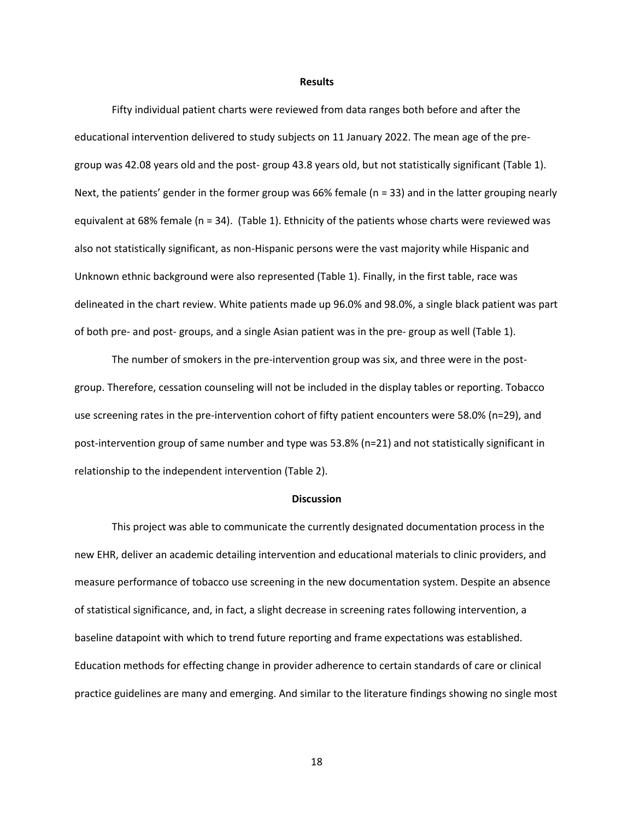#### **Results**

Fifty individual patient charts were reviewed from data ranges both before and after the educational intervention delivered to study subjects on 11 January 2022. The mean age of the pregroup was 42.08 years old and the post- group 43.8 years old, but not statistically significant (Table 1). Next, the patients' gender in the former group was 66% female (n = 33) and in the latter grouping nearly equivalent at 68% female (n = 34). (Table 1). Ethnicity of the patients whose charts were reviewed was also not statistically significant, as non-Hispanic persons were the vast majority while Hispanic and Unknown ethnic background were also represented (Table 1). Finally, in the first table, race was delineated in the chart review. White patients made up 96.0% and 98.0%, a single black patient was part of both pre- and post- groups, and a single Asian patient was in the pre- group as well (Table 1).

The number of smokers in the pre-intervention group was six, and three were in the postgroup. Therefore, cessation counseling will not be included in the display tables or reporting. Tobacco use screening rates in the pre-intervention cohort of fifty patient encounters were 58.0% (n=29), and post-intervention group of same number and type was 53.8% (n=21) and not statistically significant in relationship to the independent intervention (Table 2).

#### **Discussion**

This project was able to communicate the currently designated documentation process in the new EHR, deliver an academic detailing intervention and educational materials to clinic providers, and measure performance of tobacco use screening in the new documentation system. Despite an absence of statistical significance, and, in fact, a slight decrease in screening rates following intervention, a baseline datapoint with which to trend future reporting and frame expectations was established. Education methods for effecting change in provider adherence to certain standards of care or clinical practice guidelines are many and emerging. And similar to the literature findings showing no single most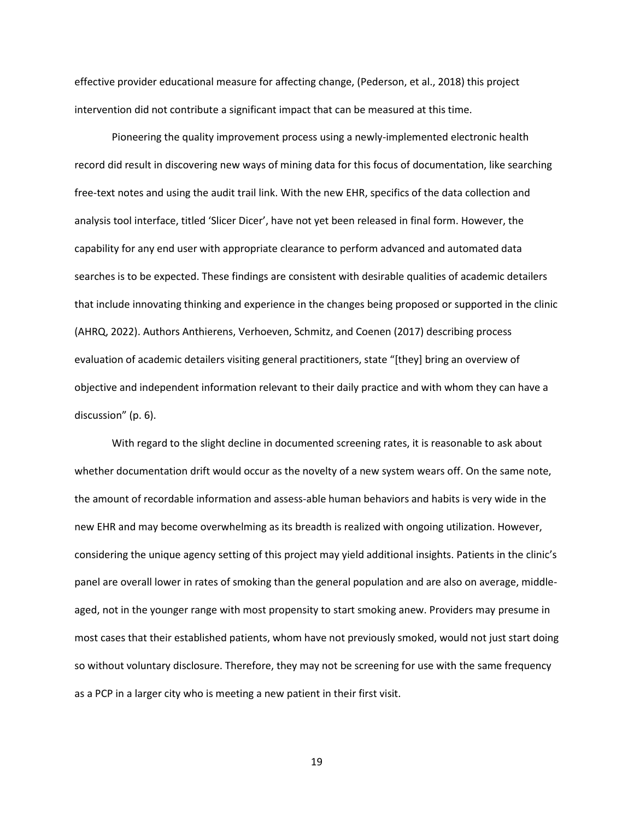effective provider educational measure for affecting change, (Pederson, et al., 2018) this project intervention did not contribute a significant impact that can be measured at this time.

Pioneering the quality improvement process using a newly-implemented electronic health record did result in discovering new ways of mining data for this focus of documentation, like searching free-text notes and using the audit trail link. With the new EHR, specifics of the data collection and analysis tool interface, titled 'Slicer Dicer', have not yet been released in final form. However, the capability for any end user with appropriate clearance to perform advanced and automated data searches is to be expected. These findings are consistent with desirable qualities of academic detailers that include innovating thinking and experience in the changes being proposed or supported in the clinic (AHRQ, 2022). Authors Anthierens, Verhoeven, Schmitz, and Coenen (2017) describing process evaluation of academic detailers visiting general practitioners, state "[they] bring an overview of objective and independent information relevant to their daily practice and with whom they can have a discussion" (p. 6).

With regard to the slight decline in documented screening rates, it is reasonable to ask about whether documentation drift would occur as the novelty of a new system wears off. On the same note, the amount of recordable information and assess-able human behaviors and habits is very wide in the new EHR and may become overwhelming as its breadth is realized with ongoing utilization. However, considering the unique agency setting of this project may yield additional insights. Patients in the clinic's panel are overall lower in rates of smoking than the general population and are also on average, middleaged, not in the younger range with most propensity to start smoking anew. Providers may presume in most cases that their established patients, whom have not previously smoked, would not just start doing so without voluntary disclosure. Therefore, they may not be screening for use with the same frequency as a PCP in a larger city who is meeting a new patient in their first visit.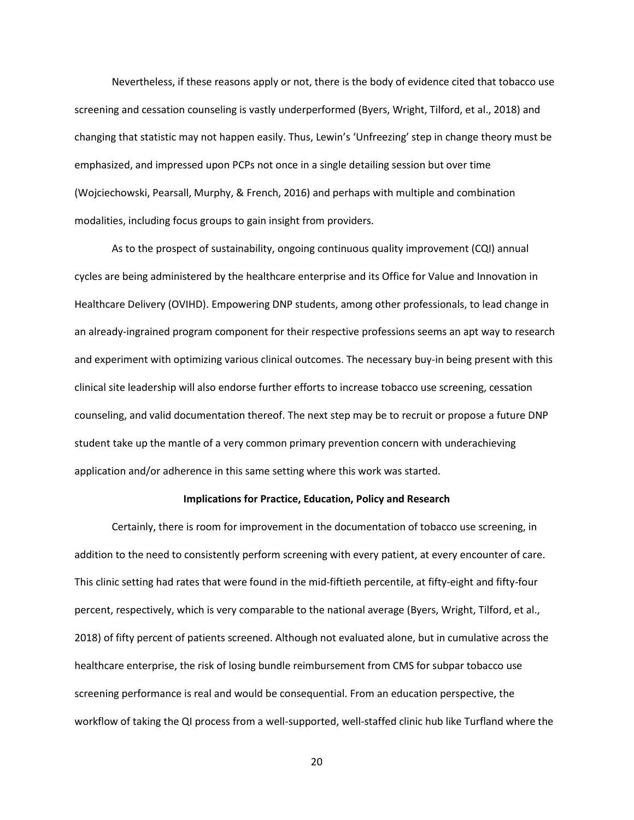Nevertheless, if these reasons apply or not, there is the body of evidence cited that tobacco use screening and cessation counseling is vastly underperformed (Byers, Wright, Tilford, et al., 2018) and changing that statistic may not happen easily. Thus, Lewin's 'Unfreezing' step in change theory must be emphasized, and impressed upon PCPs not once in a single detailing session but over time (Wojciechowski, Pearsall, Murphy, & French, 2016) and perhaps with multiple and combination modalities, including focus groups to gain insight from providers.

As to the prospect of sustainability, ongoing continuous quality improvement (CQI) annual cycles are being administered by the healthcare enterprise and its Office for Value and Innovation in Healthcare Delivery (OVIHD). Empowering DNP students, among other professionals, to lead change in an already-ingrained program component for their respective professions seems an apt way to research and experiment with optimizing various clinical outcomes. The necessary buy-in being present with this clinical site leadership will also endorse further efforts to increase tobacco use screening, cessation counseling, and valid documentation thereof. The next step may be to recruit or propose a future DNP student take up the mantle of a very common primary prevention concern with underachieving application and/or adherence in this same setting where this work was started.

#### **Implications for Practice, Education, Policy and Research**

Certainly, there is room for improvement in the documentation of tobacco use screening, in addition to the need to consistently perform screening with every patient, at every encounter of care. This clinic setting had rates that were found in the mid-fiftieth percentile, at fifty-eight and fifty-four percent, respectively, which is very comparable to the national average (Byers, Wright, Tilford, et al., 2018) of fifty percent of patients screened. Although not evaluated alone, but in cumulative across the healthcare enterprise, the risk of losing bundle reimbursement from CMS for subpar tobacco use screening performance is real and would be consequential. From an education perspective, the workflow of taking the QI process from a well-supported, well-staffed clinic hub like Turfland where the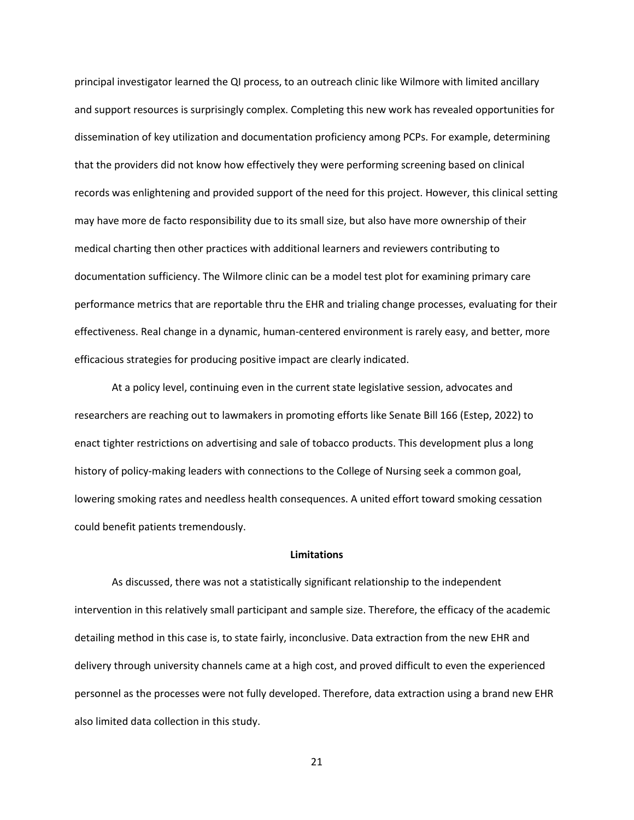principal investigator learned the QI process, to an outreach clinic like Wilmore with limited ancillary and support resources is surprisingly complex. Completing this new work has revealed opportunities for dissemination of key utilization and documentation proficiency among PCPs. For example, determining that the providers did not know how effectively they were performing screening based on clinical records was enlightening and provided support of the need for this project. However, this clinical setting may have more de facto responsibility due to its small size, but also have more ownership of their medical charting then other practices with additional learners and reviewers contributing to documentation sufficiency. The Wilmore clinic can be a model test plot for examining primary care performance metrics that are reportable thru the EHR and trialing change processes, evaluating for their effectiveness. Real change in a dynamic, human-centered environment is rarely easy, and better, more efficacious strategies for producing positive impact are clearly indicated.

At a policy level, continuing even in the current state legislative session, advocates and researchers are reaching out to lawmakers in promoting efforts like Senate Bill 166 (Estep, 2022) to enact tighter restrictions on advertising and sale of tobacco products. This development plus a long history of policy-making leaders with connections to the College of Nursing seek a common goal, lowering smoking rates and needless health consequences. A united effort toward smoking cessation could benefit patients tremendously.

#### **Limitations**

As discussed, there was not a statistically significant relationship to the independent intervention in this relatively small participant and sample size. Therefore, the efficacy of the academic detailing method in this case is, to state fairly, inconclusive. Data extraction from the new EHR and delivery through university channels came at a high cost, and proved difficult to even the experienced personnel as the processes were not fully developed. Therefore, data extraction using a brand new EHR also limited data collection in this study.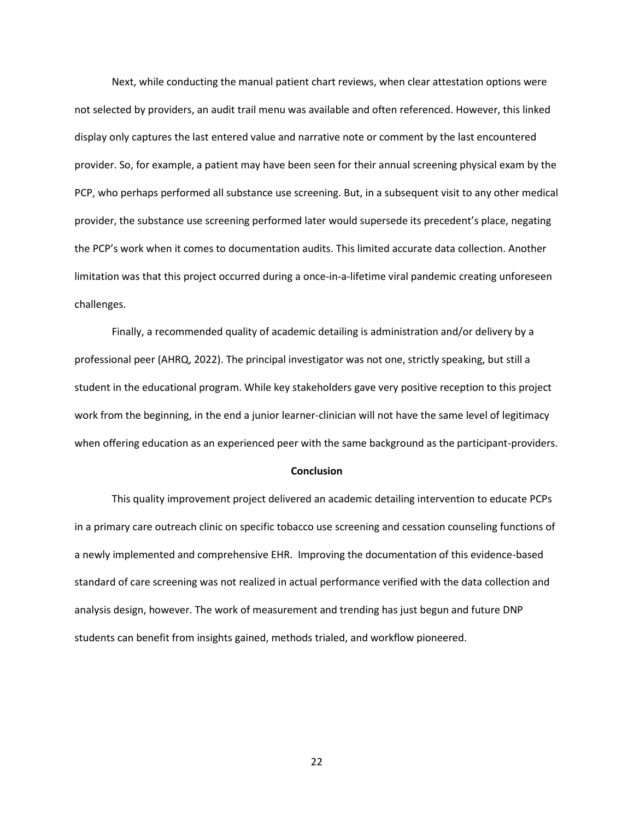Next, while conducting the manual patient chart reviews, when clear attestation options were not selected by providers, an audit trail menu was available and often referenced. However, this linked display only captures the last entered value and narrative note or comment by the last encountered provider. So, for example, a patient may have been seen for their annual screening physical exam by the PCP, who perhaps performed all substance use screening. But, in a subsequent visit to any other medical provider, the substance use screening performed later would supersede its precedent's place, negating the PCP's work when it comes to documentation audits. This limited accurate data collection. Another limitation was that this project occurred during a once-in-a-lifetime viral pandemic creating unforeseen challenges.

Finally, a recommended quality of academic detailing is administration and/or delivery by a professional peer (AHRQ, 2022). The principal investigator was not one, strictly speaking, but still a student in the educational program. While key stakeholders gave very positive reception to this project work from the beginning, in the end a junior learner-clinician will not have the same level of legitimacy when offering education as an experienced peer with the same background as the participant-providers.

#### **Conclusion**

This quality improvement project delivered an academic detailing intervention to educate PCPs in a primary care outreach clinic on specific tobacco use screening and cessation counseling functions of a newly implemented and comprehensive EHR. Improving the documentation of this evidence-based standard of care screening was not realized in actual performance verified with the data collection and analysis design, however. The work of measurement and trending has just begun and future DNP students can benefit from insights gained, methods trialed, and workflow pioneered.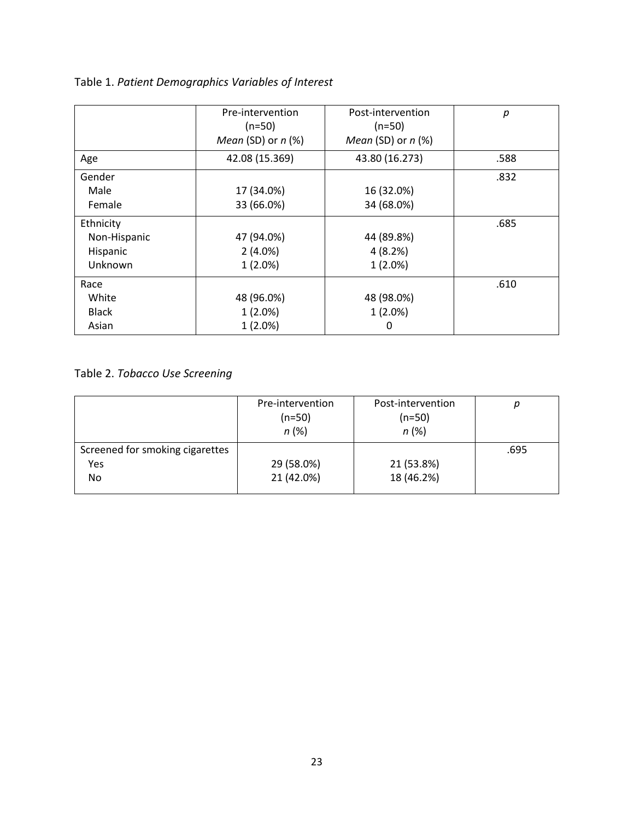| Table 1. Patient Demographics Variables of Interest |  |
|-----------------------------------------------------|--|
|-----------------------------------------------------|--|

| Pre-intervention     | Post-intervention    | р    |
|----------------------|----------------------|------|
| $(n=50)$             | $(n=50)$             |      |
| Mean (SD) or $n$ (%) | Mean (SD) or $n$ (%) |      |
| 42.08 (15.369)       | 43.80 (16.273)       | .588 |
|                      |                      | .832 |
| 17 (34.0%)           | 16 (32.0%)           |      |
| 33 (66.0%)           | 34 (68.0%)           |      |
|                      |                      | .685 |
| 47 (94.0%)           | 44 (89.8%)           |      |
| $2(4.0\%)$           | 4(8.2%)              |      |
| $1(2.0\%)$           | $1(2.0\%)$           |      |
|                      |                      | .610 |
| 48 (96.0%)           | 48 (98.0%)           |      |
| $1(2.0\%)$           | $1(2.0\%)$           |      |
| $1(2.0\%)$           | 0                    |      |
|                      |                      |      |

# Table 2. *Tobacco Use Screening*

|                                 | Pre-intervention<br>$(n=50)$<br>n(%) | Post-intervention<br>$(n=50)$<br>$n(\%)$ | р    |
|---------------------------------|--------------------------------------|------------------------------------------|------|
| Screened for smoking cigarettes |                                      |                                          | .695 |
| Yes                             | 29 (58.0%)                           | 21 (53.8%)                               |      |
| No                              | 21 (42.0%)                           | 18 (46.2%)                               |      |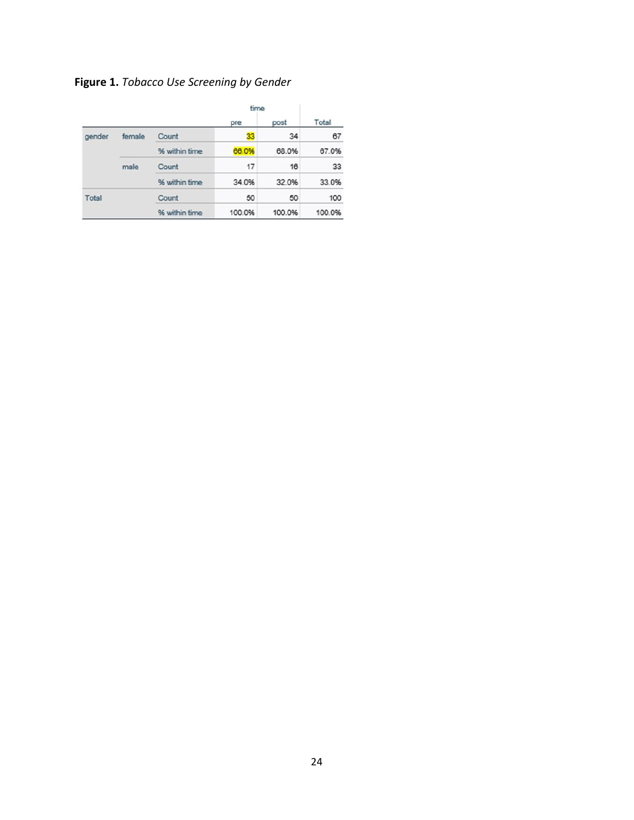**Figure 1.** *Tobacco Use Screening by Gender*

|        |        |               | time   |        |        |
|--------|--------|---------------|--------|--------|--------|
|        |        |               | pre    | post   | Total  |
| gender | female | Count         | 33     | 34     | 67     |
|        |        | % within time | 66.0%  | 68.0%  | 67.0%  |
|        | male   | Count         | 17     | 16     | 33     |
|        |        | % within time | 34.0%  | 32.0%  | 33.0%  |
| Total  |        | Count         | 50     | 50     | 100    |
|        |        | % within time | 100.0% | 100.0% | 100.0% |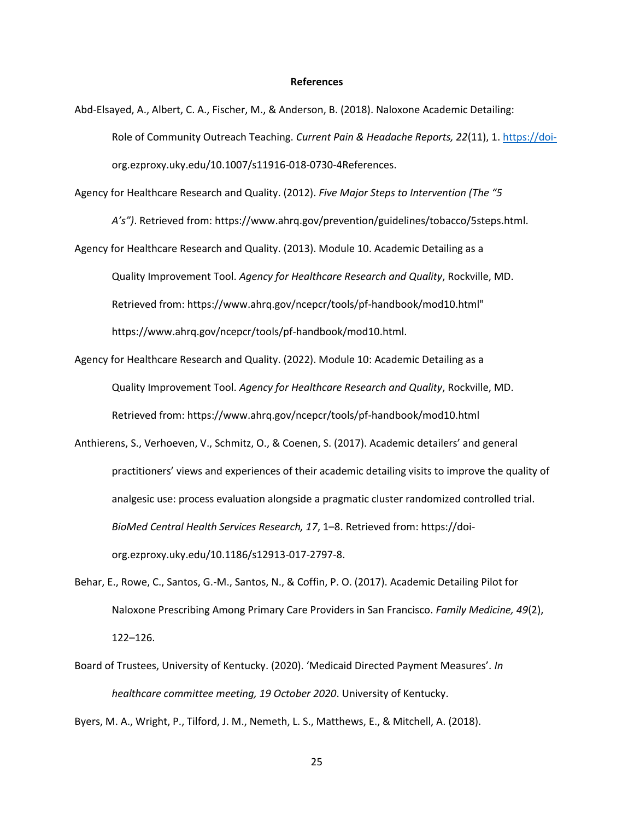#### **References**

Abd-Elsayed, A., Albert, C. A., Fischer, M., & Anderson, B. (2018). Naloxone Academic Detailing: Role of Community Outreach Teaching. *Current Pain & Headache Reports, 22*(11), 1[. https://doi](about:blank)org.ezproxy.uky.edu/10.1007/s11916-018-0730-4References.

Agency for Healthcare Research and Quality. (2012). *Five Major Steps to Intervention (The "5* 

*A's")*. Retrieved from: https://www.ahrq.gov/prevention/guidelines/tobacco/5steps.html.

Agency for Healthcare Research and Quality. (2013). Module 10. Academic Detailing as a Quality Improvement Tool. *Agency for Healthcare Research and Quality*, Rockville, MD. Retrieved from: https://www.ahrq.gov/ncepcr/tools/pf-handbook/mod10.html" https://www.ahrq.gov/ncepcr/tools/pf-handbook/mod10.html.

- Agency for Healthcare Research and Quality. (2022). Module 10: Academic Detailing as a Quality Improvement Tool. *Agency for Healthcare Research and Quality*, Rockville, MD. Retrieved from: https://www.ahrq.gov/ncepcr/tools/pf-handbook/mod10.html
- Anthierens, S., Verhoeven, V., Schmitz, O., & Coenen, S. (2017). Academic detailers' and general practitioners' views and experiences of their academic detailing visits to improve the quality of analgesic use: process evaluation alongside a pragmatic cluster randomized controlled trial. *BioMed Central Health Services Research, 17*, 1–8. Retrieved from: https://doiorg.ezproxy.uky.edu/10.1186/s12913-017-2797-8.
- Behar, E., Rowe, C., Santos, G.-M., Santos, N., & Coffin, P. O. (2017). Academic Detailing Pilot for Naloxone Prescribing Among Primary Care Providers in San Francisco. *Family Medicine, 49*(2), 122–126.
- Board of Trustees, University of Kentucky. (2020). 'Medicaid Directed Payment Measures'. *In healthcare committee meeting, 19 October 2020*. University of Kentucky.

Byers, M. A., Wright, P., Tilford, J. M., Nemeth, L. S., Matthews, E., & Mitchell, A. (2018).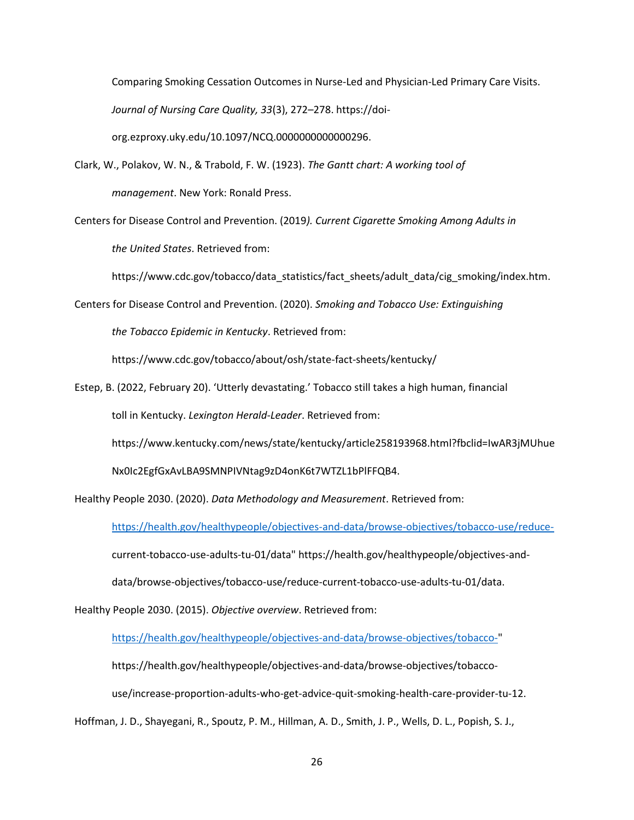Comparing Smoking Cessation Outcomes in Nurse-Led and Physician-Led Primary Care Visits. *Journal of Nursing Care Quality, 33*(3), 272–278. https://doiorg.ezproxy.uky.edu/10.1097/NCQ.0000000000000296.

Clark, W., Polakov, W. N., & Trabold, F. W. (1923). *The Gantt chart: A working tool of management*. New York: Ronald Press.

Centers for Disease Control and Prevention. (2019*). Current Cigarette Smoking Among Adults in the United States*. Retrieved from:

https://www.cdc.gov/tobacco/data\_statistics/fact\_sheets/adult\_data/cig\_smoking/index.htm.

Centers for Disease Control and Prevention. (2020). *Smoking and Tobacco Use: Extinguishing* 

*the Tobacco Epidemic in Kentucky*. Retrieved from:

https://www.cdc.gov/tobacco/about/osh/state-fact-sheets/kentucky/

Estep, B. (2022, February 20). 'Utterly devastating.' Tobacco still takes a high human, financial toll in Kentucky. *Lexington Herald-Leader*. Retrieved from:

https://www.kentucky.com/news/state/kentucky/article258193968.html?fbclid=IwAR3jMUhue

Nx0Ic2EgfGxAvLBA9SMNPIVNtag9zD4onK6t7WTZL1bPlFFQB4.

Healthy People 2030. (2020). *Data Methodology and Measurement*. Retrieved from:

[https://health.gov/healthypeople/objectives-and-data/browse-objectives/tobacco-use/reduce-](about:blank)

current-tobacco-use-adults-tu-01/data" https://health.gov/healthypeople/objectives-and-

data/browse-objectives/tobacco-use/reduce-current-tobacco-use-adults-tu-01/data.

Healthy People 2030. (2015). *Objective overview*. Retrieved from:

[https://health.gov/healthypeople/objectives-and-data/browse-objectives/tobacco-"](about:blank)

https://health.gov/healthypeople/objectives-and-data/browse-objectives/tobacco-

use/increase-proportion-adults-who-get-advice-quit-smoking-health-care-provider-tu-12.

Hoffman, J. D., Shayegani, R., Spoutz, P. M., Hillman, A. D., Smith, J. P., Wells, D. L., Popish, S. J.,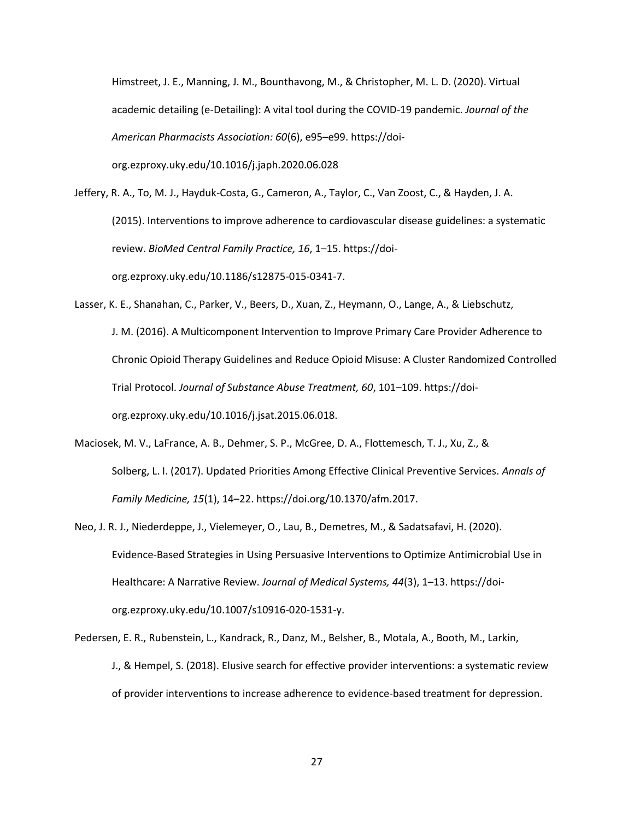Himstreet, J. E., Manning, J. M., Bounthavong, M., & Christopher, M. L. D. (2020). Virtual academic detailing (e-Detailing): A vital tool during the COVID-19 pandemic. *Journal of the American Pharmacists Association: 60*(6), e95–e99. https://doiorg.ezproxy.uky.edu/10.1016/j.japh.2020.06.028

Jeffery, R. A., To, M. J., Hayduk-Costa, G., Cameron, A., Taylor, C., Van Zoost, C., & Hayden, J. A. (2015). Interventions to improve adherence to cardiovascular disease guidelines: a systematic review. *BioMed Central Family Practice, 16*, 1–15. https://doiorg.ezproxy.uky.edu/10.1186/s12875-015-0341-7.

Lasser, K. E., Shanahan, C., Parker, V., Beers, D., Xuan, Z., Heymann, O., Lange, A., & Liebschutz, J. M. (2016). A Multicomponent Intervention to Improve Primary Care Provider Adherence to Chronic Opioid Therapy Guidelines and Reduce Opioid Misuse: A Cluster Randomized Controlled Trial Protocol. *Journal of Substance Abuse Treatment, 60*, 101–109. https://doiorg.ezproxy.uky.edu/10.1016/j.jsat.2015.06.018.

Maciosek, M. V., LaFrance, A. B., Dehmer, S. P., McGree, D. A., Flottemesch, T. J., Xu, Z., & Solberg, L. I. (2017). Updated Priorities Among Effective Clinical Preventive Services. *Annals of Family Medicine, 15*(1), 14–22. https://doi.org/10.1370/afm.2017.

Neo, J. R. J., Niederdeppe, J., Vielemeyer, O., Lau, B., Demetres, M., & Sadatsafavi, H. (2020). Evidence-Based Strategies in Using Persuasive Interventions to Optimize Antimicrobial Use in Healthcare: A Narrative Review. *Journal of Medical Systems, 44*(3), 1–13. https://doiorg.ezproxy.uky.edu/10.1007/s10916-020-1531-y.

Pedersen, E. R., Rubenstein, L., Kandrack, R., Danz, M., Belsher, B., Motala, A., Booth, M., Larkin, J., & Hempel, S. (2018). Elusive search for effective provider interventions: a systematic review of provider interventions to increase adherence to evidence-based treatment for depression.